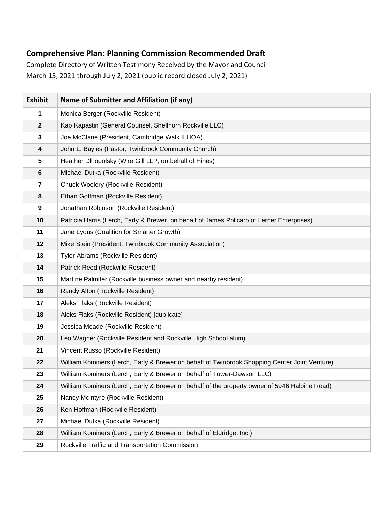## **Comprehensive Plan: Planning Commission Recommended Draft**

Complete Directory of Written Testimony Received by the Mayor and Council March 15, 2021 through July 2, 2021 (public record closed July 2, 2021)

| <b>Exhibit</b>          | Name of Submitter and Affiliation (if any)                                                    |
|-------------------------|-----------------------------------------------------------------------------------------------|
| 1                       | Monica Berger (Rockville Resident)                                                            |
| $\mathbf{2}$            | Kap Kapastin (General Counsel, Shellhorn Rockville LLC)                                       |
| 3                       | Joe McClane (President, Cambridge Walk II HOA)                                                |
| $\overline{\mathbf{4}}$ | John L. Bayles (Pastor, Twinbrook Community Church)                                           |
| 5                       | Heather Dlhopolsky (Wire Gill LLP, on behalf of Hines)                                        |
| $\bf 6$                 | Michael Dutka (Rockville Resident)                                                            |
| $\overline{\mathbf{r}}$ | Chuck Woolery (Rockville Resident)                                                            |
| 8                       | Ethan Goffman (Rockville Resident)                                                            |
| $\boldsymbol{9}$        | Jonathan Robinson (Rockville Resident)                                                        |
| 10                      | Patricia Harris (Lerch, Early & Brewer, on behalf of James Policaro of Lerner Enterprises)    |
| 11                      | Jane Lyons (Coalition for Smarter Growth)                                                     |
| 12                      | Mike Stein (President, Twinbrook Community Association)                                       |
| 13                      | Tyler Abrams (Rockville Resident)                                                             |
| 14                      | Patrick Reed (Rockville Resident)                                                             |
| 15                      | Martine Palmiter (Rockville business owner and nearby resident)                               |
| 16                      | Randy Alton (Rockville Resident)                                                              |
| 17                      | Aleks Flaks (Rockville Resident)                                                              |
| 18                      | Aleks Flaks (Rockville Resident) [duplicate]                                                  |
| 19                      | Jessica Meade (Rockville Resident)                                                            |
| 20                      | Leo Wagner (Rockville Resident and Rockville High School alum)                                |
| 21                      | Vincent Russo (Rockville Resident)                                                            |
| 22                      | William Kominers (Lerch, Early & Brewer on behalf of Twinbrook Shopping Center Joint Venture) |
| 23                      | William Kominers (Lerch, Early & Brewer on behalf of Tower-Dawson LLC)                        |
| 24                      | William Kominers (Lerch, Early & Brewer on behalf of the property owner of 5946 Halpine Road) |
| 25                      | Nancy McIntyre (Rockville Resident)                                                           |
| 26                      | Ken Hoffman (Rockville Resident)                                                              |
| 27                      | Michael Dutka (Rockville Resident)                                                            |
| 28                      | William Kominers (Lerch, Early & Brewer on behalf of Eldridge, Inc.)                          |
| 29                      | Rockville Traffic and Transportation Commission                                               |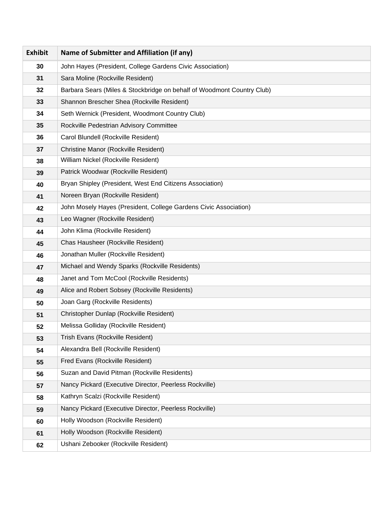| <b>Exhibit</b> | Name of Submitter and Affiliation (if any)                             |
|----------------|------------------------------------------------------------------------|
| 30             | John Hayes (President, College Gardens Civic Association)              |
| 31             | Sara Moline (Rockville Resident)                                       |
| 32             | Barbara Sears (Miles & Stockbridge on behalf of Woodmont Country Club) |
| 33             | Shannon Brescher Shea (Rockville Resident)                             |
| 34             | Seth Wernick (President, Woodmont Country Club)                        |
| 35             | Rockville Pedestrian Advisory Committee                                |
| 36             | Carol Blundell (Rockville Resident)                                    |
| 37             | <b>Christine Manor (Rockville Resident)</b>                            |
| 38             | William Nickel (Rockville Resident)                                    |
| 39             | Patrick Woodwar (Rockville Resident)                                   |
| 40             | Bryan Shipley (President, West End Citizens Association)               |
| 41             | Noreen Bryan (Rockville Resident)                                      |
| 42             | John Mosely Hayes (President, College Gardens Civic Association)       |
| 43             | Leo Wagner (Rockville Resident)                                        |
| 44             | John Klima (Rockville Resident)                                        |
| 45             | Chas Hausheer (Rockville Resident)                                     |
| 46             | Jonathan Muller (Rockville Resident)                                   |
| 47             | Michael and Wendy Sparks (Rockville Residents)                         |
| 48             | Janet and Tom McCool (Rockville Residents)                             |
| 49             | Alice and Robert Sobsey (Rockville Residents)                          |
| 50             | Joan Garg (Rockville Residents)                                        |
| 51             | Christopher Dunlap (Rockville Resident)                                |
| 52             | Melissa Golliday (Rockville Resident)                                  |
| 53             | Trish Evans (Rockville Resident)                                       |
| 54             | Alexandra Bell (Rockville Resident)                                    |
| 55             | Fred Evans (Rockville Resident)                                        |
| 56             | Suzan and David Pitman (Rockville Residents)                           |
| 57             | Nancy Pickard (Executive Director, Peerless Rockville)                 |
| 58             | Kathryn Scalzi (Rockville Resident)                                    |
| 59             | Nancy Pickard (Executive Director, Peerless Rockville)                 |
| 60             | Holly Woodson (Rockville Resident)                                     |
| 61             | Holly Woodson (Rockville Resident)                                     |
| 62             | Ushani Zebooker (Rockville Resident)                                   |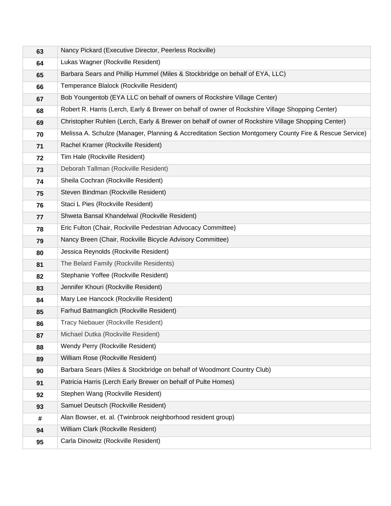| 63 | Nancy Pickard (Executive Director, Peerless Rockville)                                                 |
|----|--------------------------------------------------------------------------------------------------------|
| 64 | Lukas Wagner (Rockville Resident)                                                                      |
| 65 | Barbara Sears and Phillip Hummel (Miles & Stockbridge on behalf of EYA, LLC)                           |
| 66 | Temperance Blalock (Rockville Resident)                                                                |
| 67 | Bob Youngentob (EYA LLC on behalf of owners of Rockshire Village Center)                               |
| 68 | Robert R. Harris (Lerch, Early & Brewer on behalf of owner of Rockshire Village Shopping Center)       |
| 69 | Christopher Ruhlen (Lerch, Early & Brewer on behalf of owner of Rockshire Village Shopping Center)     |
| 70 | Melissa A. Schulze (Manager, Planning & Accreditation Section Montgomery County Fire & Rescue Service) |
| 71 | Rachel Kramer (Rockville Resident)                                                                     |
| 72 | Tim Hale (Rockville Resident)                                                                          |
| 73 | Deborah Tallman (Rockville Resident)                                                                   |
| 74 | Sheila Cochran (Rockville Resident)                                                                    |
| 75 | Steven Bindman (Rockville Resident)                                                                    |
| 76 | Staci L Pies (Rockville Resident)                                                                      |
| 77 | Shweta Bansal Khandelwal (Rockville Resident)                                                          |
| 78 | Eric Fulton (Chair, Rockville Pedestrian Advocacy Committee)                                           |
| 79 | Nancy Breen (Chair, Rockville Bicycle Advisory Committee)                                              |
| 80 | Jessica Reynolds (Rockville Resident)                                                                  |
| 81 | The Belard Family (Rockville Residents)                                                                |
| 82 | Stephanie Yoffee (Rockville Resident)                                                                  |
| 83 | Jennifer Khouri (Rockville Resident)                                                                   |
| 84 | Mary Lee Hancock (Rockville Resident)                                                                  |
| 85 | Farhud Batmanglich (Rockville Resident)                                                                |
| 86 | Tracy Niebauer (Rockville Resident)                                                                    |
| 87 | Michael Dutka (Rockville Resident)                                                                     |
| 88 | Wendy Perry (Rockville Resident)                                                                       |
| 89 | William Rose (Rockville Resident)                                                                      |
| 90 | Barbara Sears (Miles & Stockbridge on behalf of Woodmont Country Club)                                 |
| 91 | Patricia Harris (Lerch Early Brewer on behalf of Pulte Homes)                                          |
| 92 | Stephen Wang (Rockville Resident)                                                                      |
| 93 | Samuel Deutsch (Rockville Resident)                                                                    |
| #  | Alan Bowser, et. al. (Twinbrook neighborhood resident group)                                           |
| 94 | William Clark (Rockville Resident)                                                                     |
| 95 | Carla Dinowitz (Rockville Resident)                                                                    |